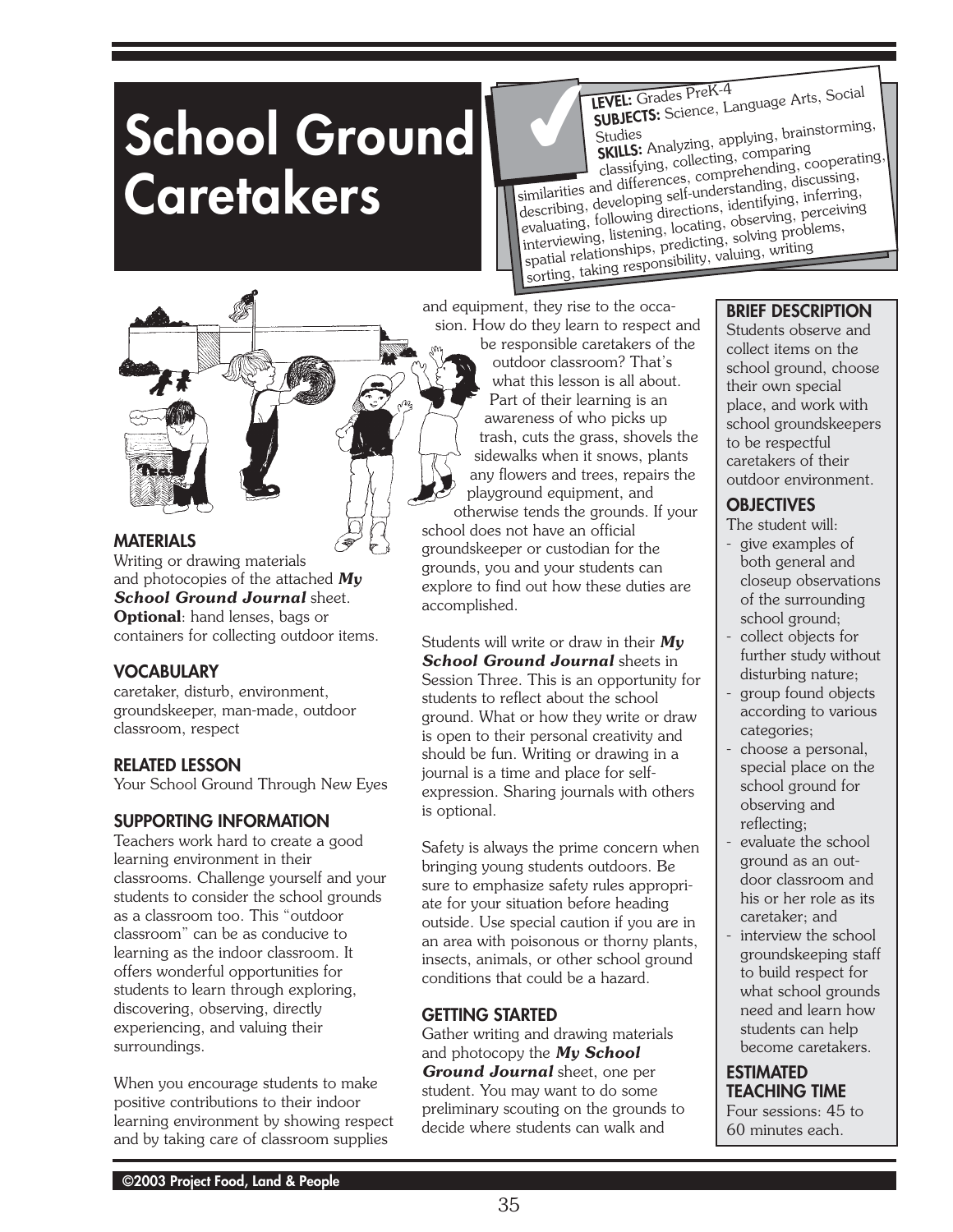# **School Ground Caretakers**

**LEVEL:** Grades PreK-4 **SUBJECTS:** Science, Language Arts, Social Studies **SKILLS:** Analyzing, applying, brainstorming, ✔

classifying, collecting, comparing similarities and differences, comprehending, cooperating,<br>similarities and differences, comprehending, discussing,

describing, developing self-understanding, discussing, describing, developing son directions, identifying, inferring, evaluating, following directions, identifying, inferring, Evandamis, ionowing and change, accounting, morther of the interviewing, listening, locating, observing, perceiving merviology, medicing, solving, solving problems, spatial relationships, predicting, solving problems, sorting, taking responsibility, valuing, writing

and equipment, they rise to the occasion. How do they learn to respect and

# **MATERIALS**

Writing or drawing materials and photocopies of the attached *My School Ground Journal* sheet. **Optional**: hand lenses, bags or containers for collecting outdoor items.

# **VOCABULARY**

caretaker, disturb, environment, groundskeeper, man-made, outdoor classroom, respect

# **RELATED LESSON**

Your School Ground Through New Eyes

# **SUPPORTING INFORMATION**

Teachers work hard to create a good learning environment in their classrooms. Challenge yourself and your students to consider the school grounds as a classroom too. This "outdoor classroom" can be as conducive to learning as the indoor classroom. It offers wonderful opportunities for students to learn through exploring, discovering, observing, directly experiencing, and valuing their surroundings.

When you encourage students to make positive contributions to their indoor learning environment by showing respect and by taking care of classroom supplies

be responsible caretakers of the outdoor classroom? That's what this lesson is all about. Part of their learning is an awareness of who picks up trash, cuts the grass, shovels the sidewalks when it snows, plants any flowers and trees, repairs the playground equipment, and otherwise tends the grounds. If your

school does not have an official groundskeeper or custodian for the grounds, you and your students can explore to find out how these duties are accomplished.

Students will write or draw in their *My School Ground Journal* sheets in Session Three. This is an opportunity for students to reflect about the school ground. What or how they write or draw is open to their personal creativity and should be fun. Writing or drawing in a journal is a time and place for selfexpression. Sharing journals with others is optional.

Safety is always the prime concern when bringing young students outdoors. Be sure to emphasize safety rules appropriate for your situation before heading outside. Use special caution if you are in an area with poisonous or thorny plants, insects, animals, or other school ground conditions that could be a hazard.

# **GETTING STARTED**

Gather writing and drawing materials and photocopy the *My School Ground Journal* sheet, one per student. You may want to do some preliminary scouting on the grounds to decide where students can walk and

# **BRIEF DESCRIPTION**

Students observe and collect items on the school ground, choose their own special place, and work with school groundskeepers to be respectful caretakers of their outdoor environment.

# **OBJECTIVES**

The student will:

- give examples of both general and closeup observations of the surrounding school ground;
- collect objects for further study without disturbing nature;
- group found objects according to various categories;
- choose a personal, special place on the school ground for observing and reflecting;
- evaluate the school ground as an outdoor classroom and his or her role as its caretaker; and
- interview the school groundskeeping staff to build respect for what school grounds need and learn how students can help become caretakers.

# **ESTIMATED TEACHING TIME**

Four sessions: 45 to 60 minutes each.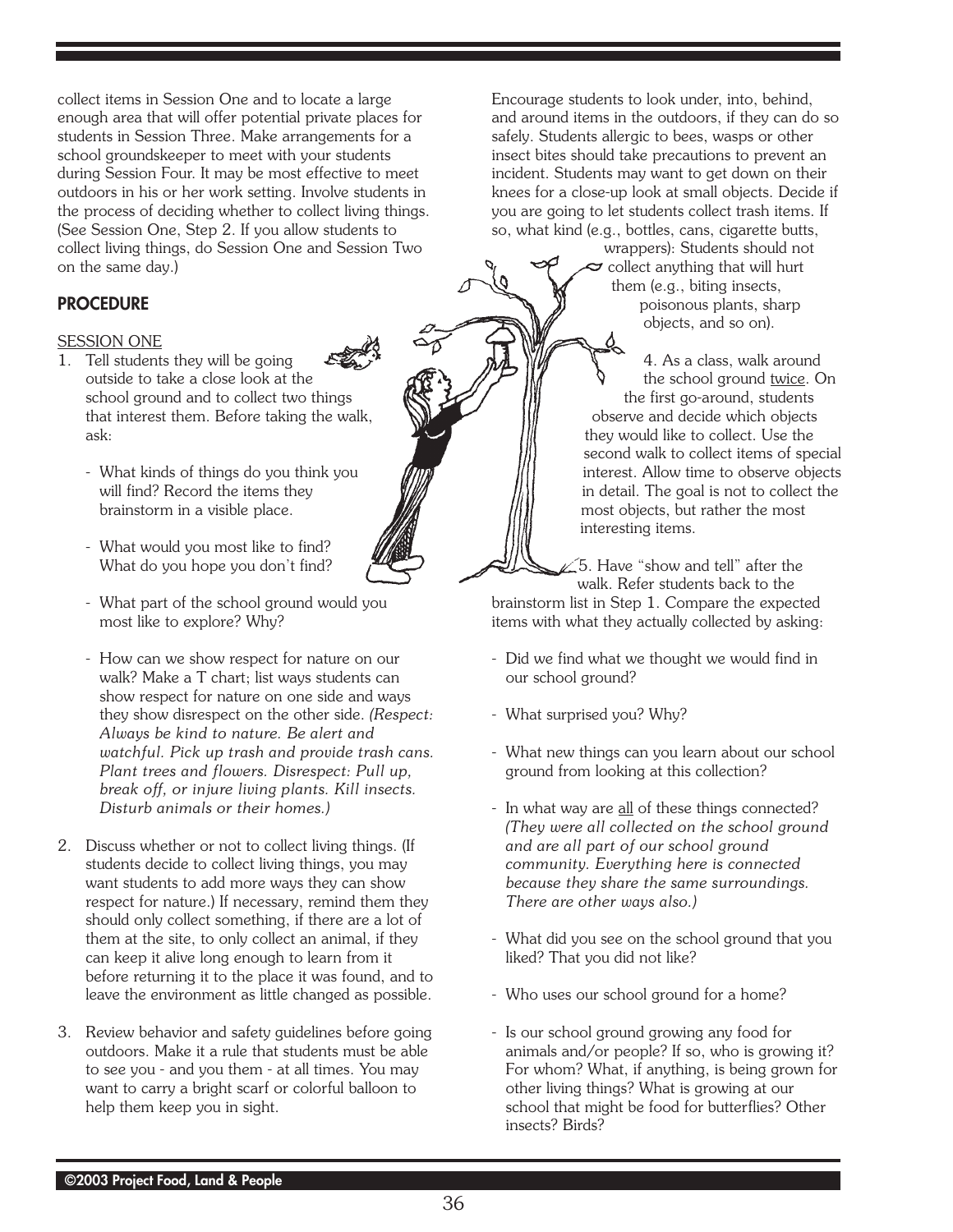collect items in Session One and to locate a large enough area that will offer potential private places for students in Session Three. Make arrangements for a school groundskeeper to meet with your students during Session Four. It may be most effective to meet outdoors in his or her work setting. Involve students in the process of deciding whether to collect living things. (See Session One, Step 2. If you allow students to collect living things, do Session One and Session Two on the same day.)

#### **PROCEDURE**

#### SESSION ONE

- 1. Tell students they will be going outside to take a close look at the school ground and to collect two things that interest them. Before taking the walk, ask:
	- What kinds of things do you think you will find? Record the items they brainstorm in a visible place.
	- What would you most like to find? What do you hope you don't find?
	- What part of the school ground would you most like to explore? Why?
	- How can we show respect for nature on our walk? Make a T chart; list ways students can show respect for nature on one side and ways they show disrespect on the other side. *(Respect: Always be kind to nature. Be alert and watchful. Pick up trash and provide trash cans. Plant trees and flowers. Disrespect: Pull up, break off, or injure living plants. Kill insects. Disturb animals or their homes.)*
- 2. Discuss whether or not to collect living things. (If students decide to collect living things, you may want students to add more ways they can show respect for nature.) If necessary, remind them they should only collect something, if there are a lot of them at the site, to only collect an animal, if they can keep it alive long enough to learn from it before returning it to the place it was found, and to leave the environment as little changed as possible.
- 3. Review behavior and safety guidelines before going outdoors. Make it a rule that students must be able to see you - and you them - at all times. You may want to carry a bright scarf or colorful balloon to help them keep you in sight.

Encourage students to look under, into, behind, and around items in the outdoors, if they can do so safely. Students allergic to bees, wasps or other insect bites should take precautions to prevent an incident. Students may want to get down on their knees for a close-up look at small objects. Decide if you are going to let students collect trash items. If so, what kind (e.g., bottles, cans, cigarette butts,

> wrappers): Students should not  $\ge$  collect anything that will hurt them (e.g., biting insects, poisonous plants, sharp objects, and so on).

 $\frac{\Delta}{\Delta}$ 4. As a class, walk around the school ground twice. On the first go-around, students observe and decide which objects they would like to collect. Use the second walk to collect items of special interest. Allow time to observe objects in detail. The goal is not to collect the most objects, but rather the most interesting items.

5. Have "show and tell" after the walk. Refer students back to the brainstorm list in Step 1. Compare the expected

- Did we find what we thought we would find in our school ground?

items with what they actually collected by asking:

- What surprised you? Why?
- What new things can you learn about our school ground from looking at this collection?
- In what way are all of these things connected? *(They were all collected on the school ground and are all part of our school ground community. Everything here is connected because they share the same surroundings. There are other ways also.)*
- What did you see on the school ground that you liked? That you did not like?
- Who uses our school ground for a home?
- Is our school ground growing any food for animals and/or people? If so, who is growing it? For whom? What, if anything, is being grown for other living things? What is growing at our school that might be food for butterflies? Other insects? Birds?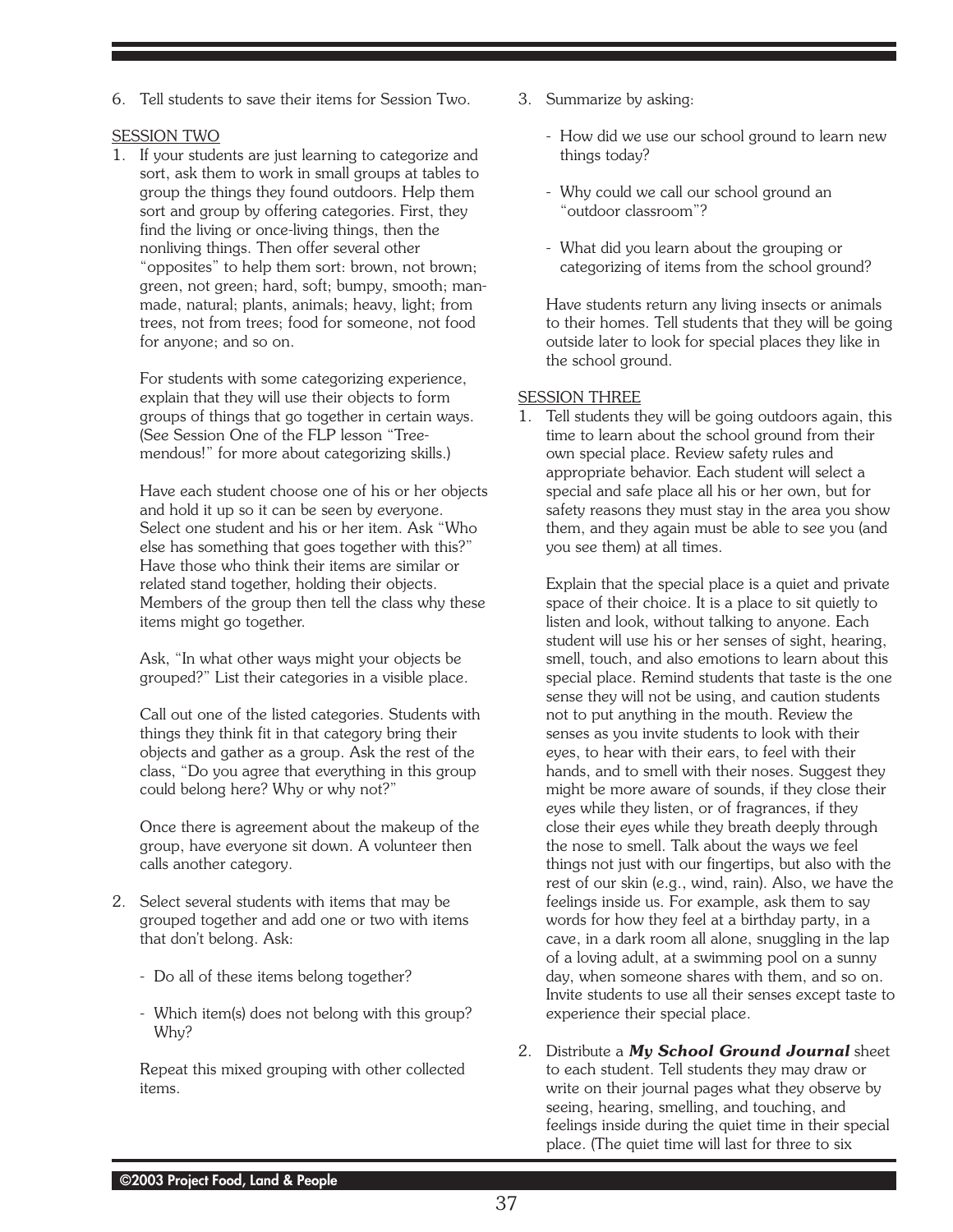6. Tell students to save their items for Session Two.

#### SESSION TWO

1. If your students are just learning to categorize and sort, ask them to work in small groups at tables to group the things they found outdoors. Help them sort and group by offering categories. First, they find the living or once-living things, then the nonliving things. Then offer several other "opposites" to help them sort: brown, not brown; green, not green; hard, soft; bumpy, smooth; manmade, natural; plants, animals; heavy, light; from trees, not from trees; food for someone, not food for anyone; and so on.

For students with some categorizing experience, explain that they will use their objects to form groups of things that go together in certain ways. (See Session One of the FLP lesson "Treemendous!" for more about categorizing skills.)

Have each student choose one of his or her objects and hold it up so it can be seen by everyone. Select one student and his or her item. Ask "Who else has something that goes together with this?" Have those who think their items are similar or related stand together, holding their objects. Members of the group then tell the class why these items might go together.

Ask, "In what other ways might your objects be grouped?" List their categories in a visible place.

Call out one of the listed categories. Students with things they think fit in that category bring their objects and gather as a group. Ask the rest of the class, "Do you agree that everything in this group could belong here? Why or why not?"

Once there is agreement about the makeup of the group, have everyone sit down. A volunteer then calls another category.

- 2. Select several students with items that may be grouped together and add one or two with items that don't belong. Ask:
	- Do all of these items belong together?
	- Which item(s) does not belong with this group? Why?

Repeat this mixed grouping with other collected items.

- 3. Summarize by asking:
	- How did we use our school ground to learn new things today?
	- Why could we call our school ground an "outdoor classroom"?
	- What did you learn about the grouping or categorizing of items from the school ground?

Have students return any living insects or animals to their homes. Tell students that they will be going outside later to look for special places they like in the school ground.

#### SESSION THREE

1. Tell students they will be going outdoors again, this time to learn about the school ground from their own special place. Review safety rules and appropriate behavior. Each student will select a special and safe place all his or her own, but for safety reasons they must stay in the area you show them, and they again must be able to see you (and you see them) at all times.

Explain that the special place is a quiet and private space of their choice. It is a place to sit quietly to listen and look, without talking to anyone. Each student will use his or her senses of sight, hearing, smell, touch, and also emotions to learn about this special place. Remind students that taste is the one sense they will not be using, and caution students not to put anything in the mouth. Review the senses as you invite students to look with their eyes, to hear with their ears, to feel with their hands, and to smell with their noses. Suggest they might be more aware of sounds, if they close their eyes while they listen, or of fragrances, if they close their eyes while they breath deeply through the nose to smell. Talk about the ways we feel things not just with our fingertips, but also with the rest of our skin (e.g., wind, rain). Also, we have the feelings inside us. For example, ask them to say words for how they feel at a birthday party, in a cave, in a dark room all alone, snuggling in the lap of a loving adult, at a swimming pool on a sunny day, when someone shares with them, and so on. Invite students to use all their senses except taste to experience their special place.

2. Distribute a *My School Ground Journal* sheet to each student. Tell students they may draw or write on their journal pages what they observe by seeing, hearing, smelling, and touching, and feelings inside during the quiet time in their special place. (The quiet time will last for three to six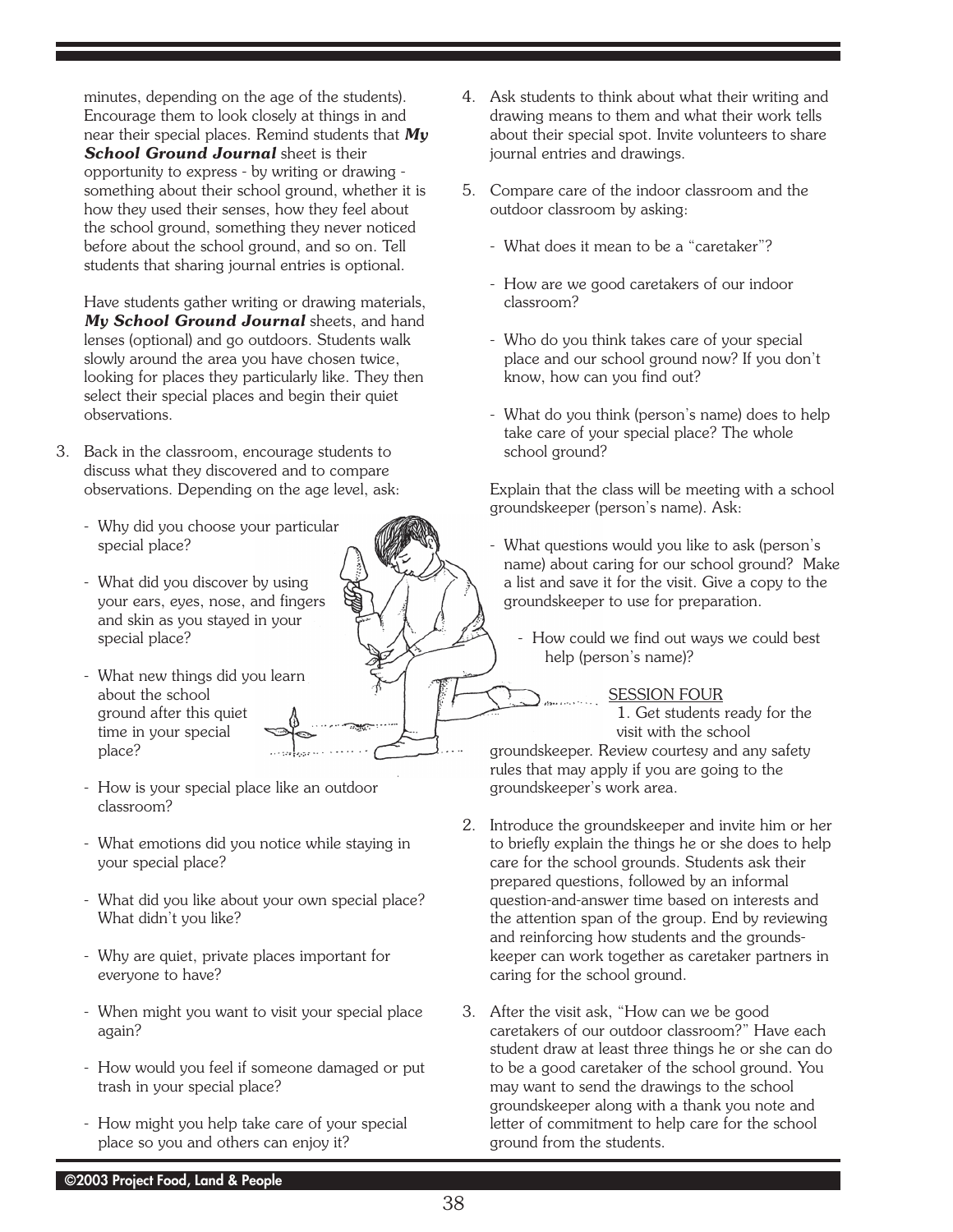minutes, depending on the age of the students). Encourage them to look closely at things in and near their special places. Remind students that *My School Ground Journal* sheet is their opportunity to express - by writing or drawing something about their school ground, whether it is how they used their senses, how they feel about the school ground, something they never noticed before about the school ground, and so on. Tell students that sharing journal entries is optional.

Have students gather writing or drawing materials, *My School Ground Journal* sheets, and hand lenses (optional) and go outdoors. Students walk slowly around the area you have chosen twice, looking for places they particularly like. They then select their special places and begin their quiet observations.

- 3. Back in the classroom, encourage students to discuss what they discovered and to compare observations. Depending on the age level, ask:
	- Why did you choose your particular special place?
	- What did you discover by using your ears, eyes, nose, and fingers and skin as you stayed in your special place?
	- What new things did you learn about the school ground after this quiet time in your special place?
	- How is your special place like an outdoor classroom?
	- What emotions did you notice while staying in your special place?
	- What did you like about your own special place? What didn't you like?
	- Why are quiet, private places important for everyone to have?
	- When might you want to visit your special place again?
	- How would you feel if someone damaged or put trash in your special place?
	- How might you help take care of your special place so you and others can enjoy it?
- 4. Ask students to think about what their writing and drawing means to them and what their work tells about their special spot. Invite volunteers to share journal entries and drawings.
- 5. Compare care of the indoor classroom and the outdoor classroom by asking:
	- What does it mean to be a "caretaker"?
	- How are we good caretakers of our indoor classroom?
	- Who do you think takes care of your special place and our school ground now? If you don't know, how can you find out?
	- What do you think (person's name) does to help take care of your special place? The whole school ground?

Explain that the class will be meeting with a school groundskeeper (person's name). Ask:

- What questions would you like to ask (person's name) about caring for our school ground? Make a list and save it for the visit. Give a copy to the groundskeeper to use for preparation.
	- How could we find out ways we could best help (person's name)?

#### **SESSION FOUR**

1. Get students ready for the visit with the school

groundskeeper. Review courtesy and any safety rules that may apply if you are going to the groundskeeper's work area.

- 2. Introduce the groundskeeper and invite him or her to briefly explain the things he or she does to help care for the school grounds. Students ask their prepared questions, followed by an informal question-and-answer time based on interests and the attention span of the group. End by reviewing and reinforcing how students and the groundskeeper can work together as caretaker partners in caring for the school ground.
- 3. After the visit ask, "How can we be good caretakers of our outdoor classroom?" Have each student draw at least three things he or she can do to be a good caretaker of the school ground. You may want to send the drawings to the school groundskeeper along with a thank you note and letter of commitment to help care for the school ground from the students.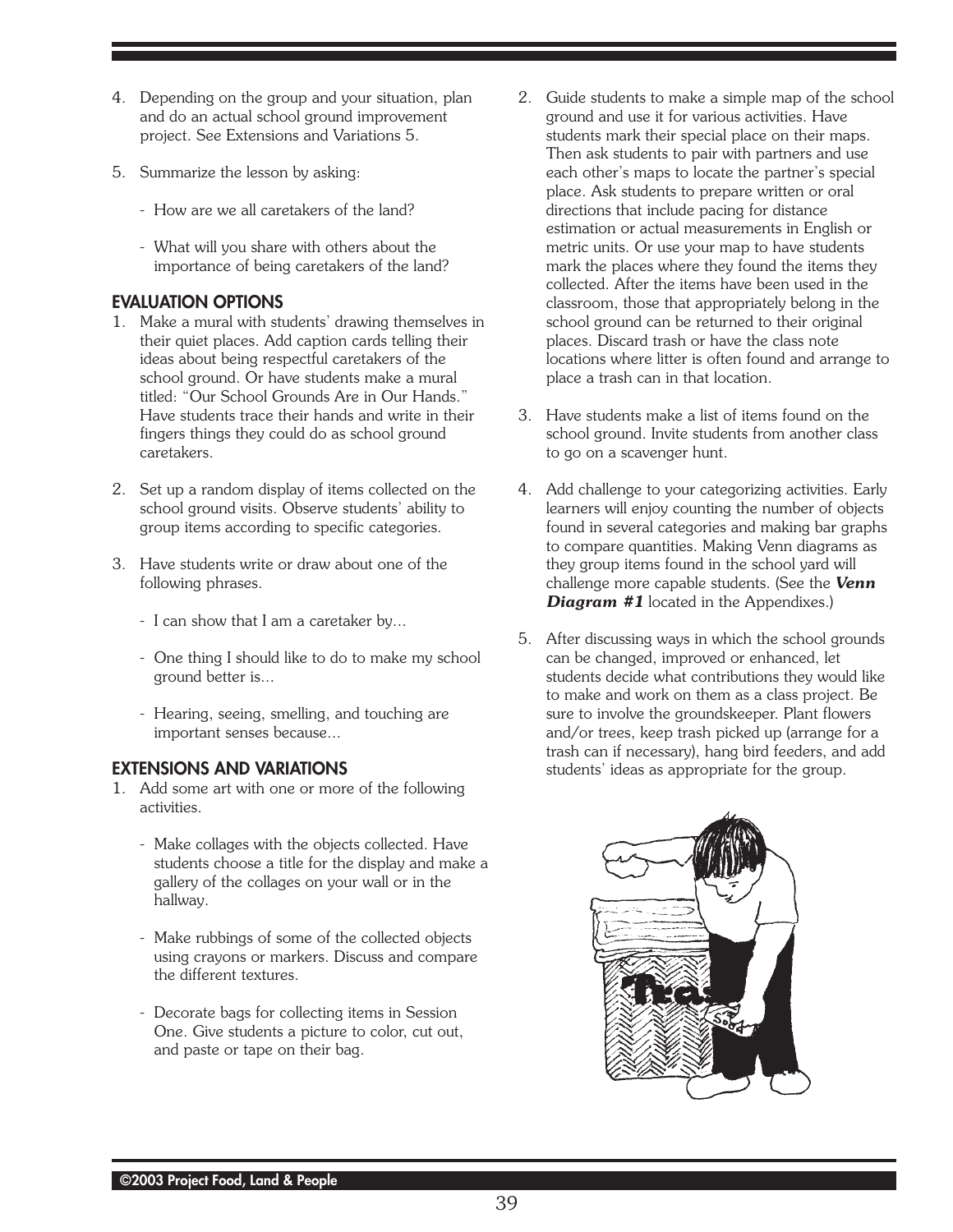- 4. Depending on the group and your situation, plan and do an actual school ground improvement project. See Extensions and Variations 5.
- 5. Summarize the lesson by asking:
	- How are we all caretakers of the land?
	- What will you share with others about the importance of being caretakers of the land?

# **EVALUATION OPTIONS**

- 1. Make a mural with students' drawing themselves in their quiet places. Add caption cards telling their ideas about being respectful caretakers of the school ground. Or have students make a mural titled: "Our School Grounds Are in Our Hands." Have students trace their hands and write in their fingers things they could do as school ground caretakers.
- 2. Set up a random display of items collected on the school ground visits. Observe students' ability to group items according to specific categories.
- 3. Have students write or draw about one of the following phrases.
	- I can show that I am a caretaker by...
	- One thing I should like to do to make my school ground better is...
	- Hearing, seeing, smelling, and touching are important senses because...

#### **EXTENSIONS AND VARIATIONS**

- 1. Add some art with one or more of the following activities.
	- Make collages with the objects collected. Have students choose a title for the display and make a gallery of the collages on your wall or in the hallway.
	- Make rubbings of some of the collected objects using crayons or markers. Discuss and compare the different textures.
	- Decorate bags for collecting items in Session One. Give students a picture to color, cut out, and paste or tape on their bag.
- 2. Guide students to make a simple map of the school ground and use it for various activities. Have students mark their special place on their maps. Then ask students to pair with partners and use each other's maps to locate the partner's special place. Ask students to prepare written or oral directions that include pacing for distance estimation or actual measurements in English or metric units. Or use your map to have students mark the places where they found the items they collected. After the items have been used in the classroom, those that appropriately belong in the school ground can be returned to their original places. Discard trash or have the class note locations where litter is often found and arrange to place a trash can in that location.
- 3. Have students make a list of items found on the school ground. Invite students from another class to go on a scavenger hunt.
- 4. Add challenge to your categorizing activities. Early learners will enjoy counting the number of objects found in several categories and making bar graphs to compare quantities. Making Venn diagrams as they group items found in the school yard will challenge more capable students. (See the *Venn Diagram #1* located in the Appendixes.)
- 5. After discussing ways in which the school grounds can be changed, improved or enhanced, let students decide what contributions they would like to make and work on them as a class project. Be sure to involve the groundskeeper. Plant flowers and/or trees, keep trash picked up (arrange for a trash can if necessary), hang bird feeders, and add students' ideas as appropriate for the group.

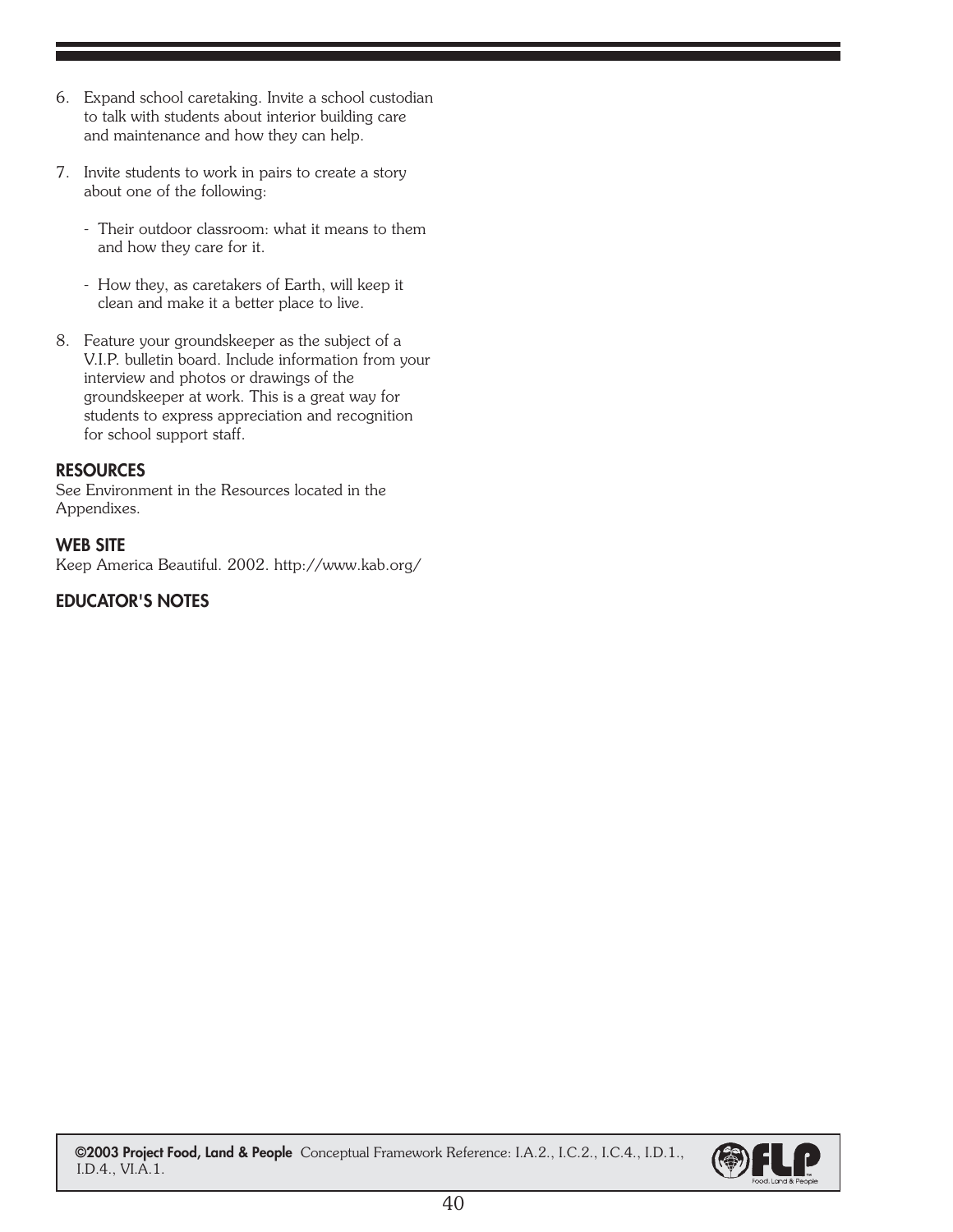- 6. Expand school caretaking. Invite a school custodian to talk with students about interior building care and maintenance and how they can help.
- 7. Invite students to work in pairs to create a story about one of the following:
	- Their outdoor classroom: what it means to them and how they care for it.
	- How they, as caretakers of Earth, will keep it clean and make it a better place to live.
- 8. Feature your groundskeeper as the subject of a V.I.P. bulletin board. Include information from your interview and photos or drawings of the groundskeeper at work. This is a great way for students to express appreciation and recognition for school support staff.

# **RESOURCES**

See Environment in the Resources located in the Appendixes.

#### **WEB SITE**

Keep America Beautiful. 2002. http://www.kab.org/

# **EDUCATOR'S NOTES**

 **©2003 Project Food, Land & People ©2003 Project Food, Land & People** Conceptual Framework Reference: I.A.2., I.C.2., I.C.4., I.D.1., I.D.4., VI.A.1.

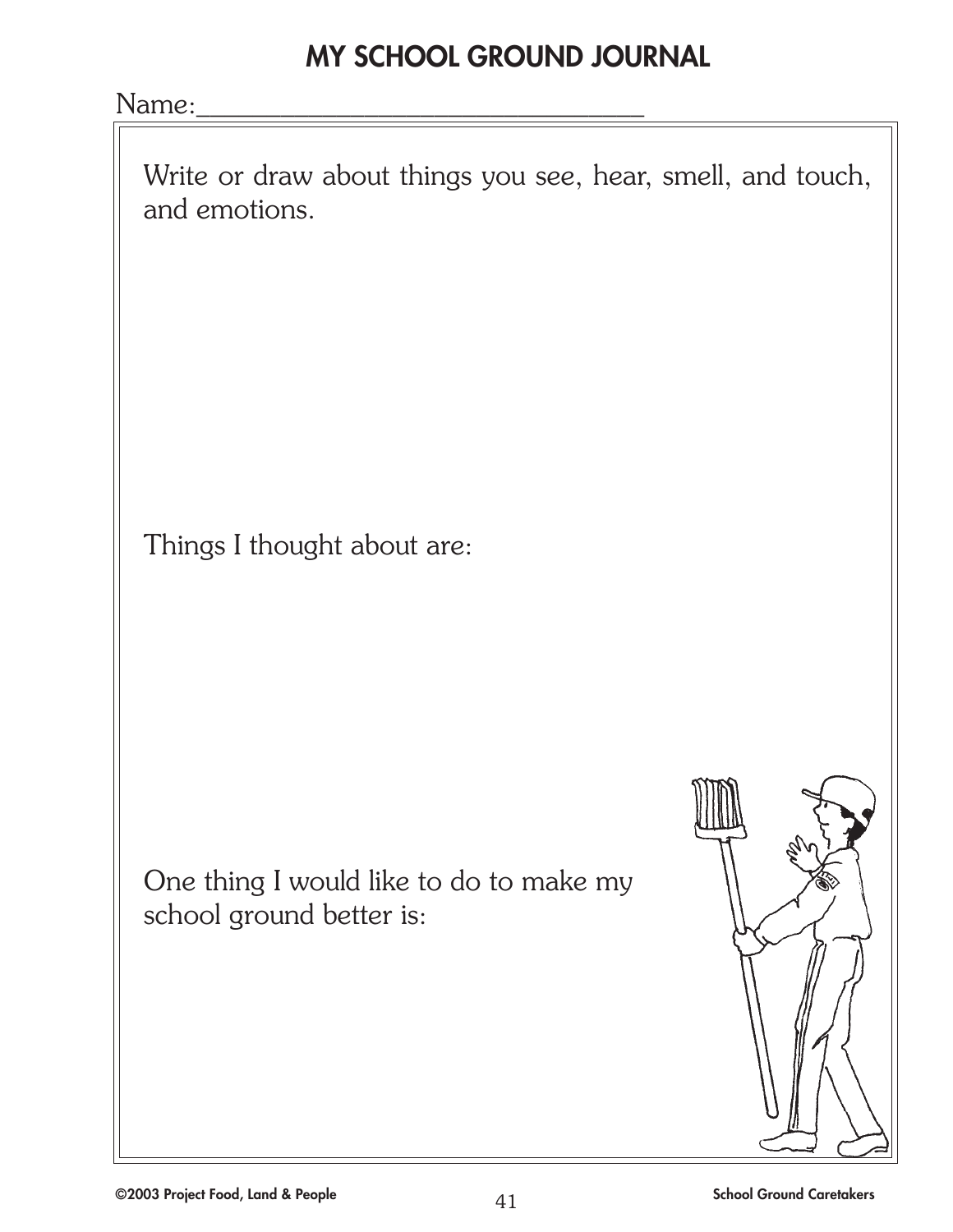# **MY SCHOOL GROUND JOURNAL**

Name:

Write or draw about things you see, hear, smell, and touch, and emotions.

Things I thought about are:

One thing I would like to do to make my school ground better is: